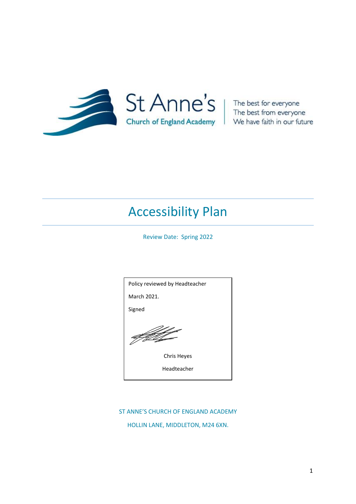

The best from everyone We have faith in our future

# Accessibility Plan

Review Date: Spring 2022



#### ST ANNE'S CHURCH OF ENGLAND ACADEMY

HOLLIN LANE, MIDDLETON, M24 6XN.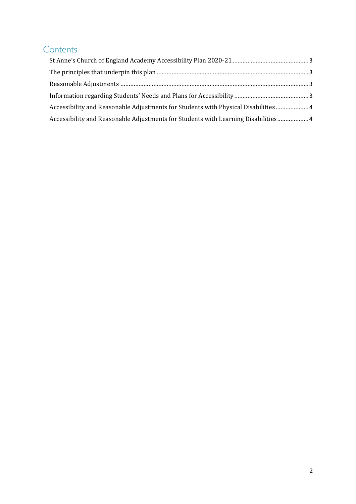## **Contents**

| Accessibility and Reasonable Adjustments for Students with Physical Disabilities 4 |  |
|------------------------------------------------------------------------------------|--|
| Accessibility and Reasonable Adjustments for Students with Learning Disabilities 4 |  |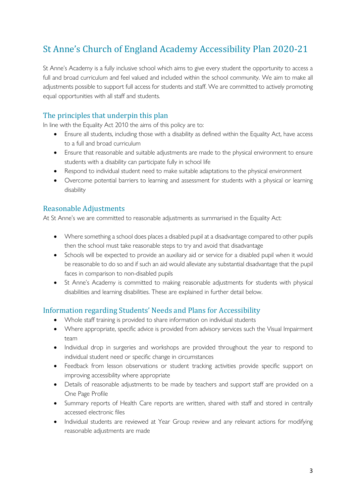## <span id="page-2-0"></span>St Anne's Church of England Academy Accessibility Plan 2020-21

St Anne's Academy is a fully inclusive school which aims to give every student the opportunity to access a full and broad curriculum and feel valued and included within the school community. We aim to make all adjustments possible to support full access for students and staff. We are committed to actively promoting equal opportunities with all staff and students.

#### <span id="page-2-1"></span>The principles that underpin this plan

In line with the Equality Act 2010 the aims of this policy are to:

- Ensure all students, including those with a disability as defined within the Equality Act, have access to a full and broad curriculum
- Ensure that reasonable and suitable adjustments are made to the physical environment to ensure students with a disability can participate fully in school life
- Respond to individual student need to make suitable adaptations to the physical environment
- Overcome potential barriers to learning and assessment for students with a physical or learning disability

#### <span id="page-2-2"></span>Reasonable Adjustments

At St Anne's we are committed to reasonable adjustments as summarised in the Equality Act:

- Where something a school does places a disabled pupil at a disadvantage compared to other pupils then the school must take reasonable steps to try and avoid that disadvantage
- Schools will be expected to provide an auxiliary aid or service for a disabled pupil when it would be reasonable to do so and if such an aid would alleviate any substantial disadvantage that the pupil faces in comparison to non-disabled pupils
- St Anne's Academy is committed to making reasonable adjustments for students with physical disabilities and learning disabilities. These are explained in further detail below.

#### <span id="page-2-3"></span>Information regarding Students' Needs and Plans for Accessibility

- Whole staff training is provided to share information on individual students
- Where appropriate, specific advice is provided from advisory services such the Visual Impairment team
- Individual drop in surgeries and workshops are provided throughout the year to respond to individual student need or specific change in circumstances
- Feedback from lesson observations or student tracking activities provide specific support on improving accessibility where appropriate
- Details of reasonable adjustments to be made by teachers and support staff are provided on a One Page Profile
- Summary reports of Health Care reports are written, shared with staff and stored in centrally accessed electronic files
- Individual students are reviewed at Year Group review and any relevant actions for modifying reasonable adjustments are made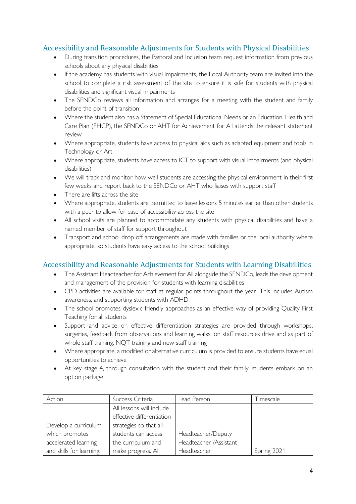### <span id="page-3-0"></span>Accessibility and Reasonable Adjustments for Students with Physical Disabilities

- During transition procedures, the Pastoral and Inclusion team request information from previous schools about any physical disabilities
- If the academy has students with visual impairments, the Local Authority team are invited into the school to complete a risk assessment of the site to ensure it is safe for students with physical disabilities and significant visual impairments
- The SENDCo reviews all information and arranges for a meeting with the student and family before the point of transition
- Where the student also has a Statement of Special Educational Needs or an Education, Health and Care Plan (EHCP), the SENDCo or AHT for Achievement for All attends the relevant statement review
- Where appropriate, students have access to physical aids such as adapted equipment and tools in Technology or Art
- Where appropriate, students have access to ICT to support with visual impairments (and physical disabilities)
- We will track and monitor how well students are accessing the physical environment in their first few weeks and report back to the SENDCo or AHT who liaises with support staff
- There are lifts across the site
- Where appropriate, students are permitted to leave lessons 5 minutes earlier than other students with a peer to allow for ease of accessibility across the site
- All school visits are planned to accommodate any students with physical disabilities and have a named member of staff for support throughout
- Transport and school drop off arrangements are made with families or the local authority where appropriate, so students have easy access to the school buildings

#### <span id="page-3-1"></span>Accessibility and Reasonable Adjustments for Students with Learning Disabilities

- The Assistant Headteacher for Achievement for All alongside the SENDCo, leads the development and management of the provision for students with learning disabilities
- CPD activities are available for staff at regular points throughout the year. This includes Autism awareness, and supporting students with ADHD
- The school promotes dyslexic friendly approaches as an effective way of providing Quality First Teaching for all students
- Support and advice on effective differentiation strategies are provided through workshops, surgeries, feedback from observations and learning walks, on staff resources drive and as part of whole staff training, NQT training and new staff training
- Where appropriate, a modified or alternative curriculum is provided to ensure students have equal opportunities to achieve
- At key stage 4, through consultation with the student and their family, students embark on an option package

| Action                   | Success Criteria          | Lead Person            | Timescale   |
|--------------------------|---------------------------|------------------------|-------------|
|                          | All lessons will include  |                        |             |
|                          | effective differentiation |                        |             |
| Develop a curriculum     | strategies so that all    |                        |             |
| which promotes           | students can access       | Headteacher/Deputy     |             |
| accelerated learning     | the curriculum and        | Headteacher /Assistant |             |
| and skills for learning. | make progress. All        | Headteacher            | Spring 2021 |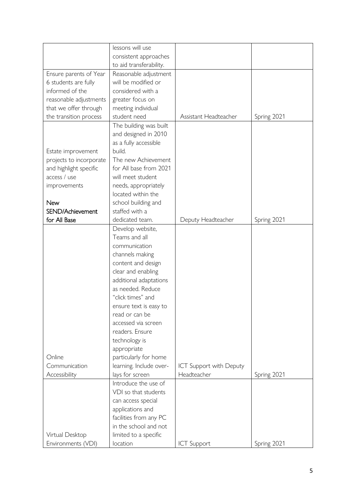|                         | lessons will use        |                                |             |
|-------------------------|-------------------------|--------------------------------|-------------|
|                         | consistent approaches   |                                |             |
|                         | to aid transferability. |                                |             |
| Ensure parents of Year  | Reasonable adjustment   |                                |             |
| 6 students are fully    | will be modified or     |                                |             |
| informed of the         | considered with a       |                                |             |
| reasonable adjustments  | greater focus on        |                                |             |
| that we offer through   | meeting individual      |                                |             |
| the transition process  | student need            | Assistant Headteacher          | Spring 2021 |
|                         | The building was built  |                                |             |
|                         | and designed in 2010    |                                |             |
|                         | as a fully accessible   |                                |             |
| Estate improvement      | build.                  |                                |             |
| projects to incorporate | The new Achievement     |                                |             |
| and highlight specific  | for All base from 2021  |                                |             |
| access / use            | will meet student       |                                |             |
| improvements            | needs, appropriately    |                                |             |
|                         | located within the      |                                |             |
| <b>New</b>              | school building and     |                                |             |
| SEND/Achievement        | staffed with a          |                                |             |
| for All Base            | dedicated team.         | Deputy Headteacher             | Spring 2021 |
|                         | Develop website,        |                                |             |
|                         | Teams and all           |                                |             |
|                         | communication           |                                |             |
|                         | channels making         |                                |             |
|                         | content and design      |                                |             |
|                         | clear and enabling      |                                |             |
|                         | additional adaptations  |                                |             |
|                         | as needed. Reduce       |                                |             |
|                         | "click times" and       |                                |             |
|                         | ensure text is easy to  |                                |             |
|                         | read or can be          |                                |             |
|                         | accessed via screen     |                                |             |
|                         | readers. Ensure         |                                |             |
|                         | technology is           |                                |             |
|                         | appropriate             |                                |             |
| Online                  | particularly for home   |                                |             |
| Communication           | learning. Include over- | <b>ICT Support with Deputy</b> |             |
| Accessibility           | lays for screen         | Headteacher                    | Spring 2021 |
|                         | Introduce the use of    |                                |             |
|                         | VDI so that students    |                                |             |
|                         | can access special      |                                |             |
|                         | applications and        |                                |             |
|                         | facilities from any PC  |                                |             |
|                         | in the school and not   |                                |             |
| Virtual Desktop         | limited to a specific   |                                |             |
| Environments (VDI)      | location                | <b>ICT Support</b>             | Spring 2021 |